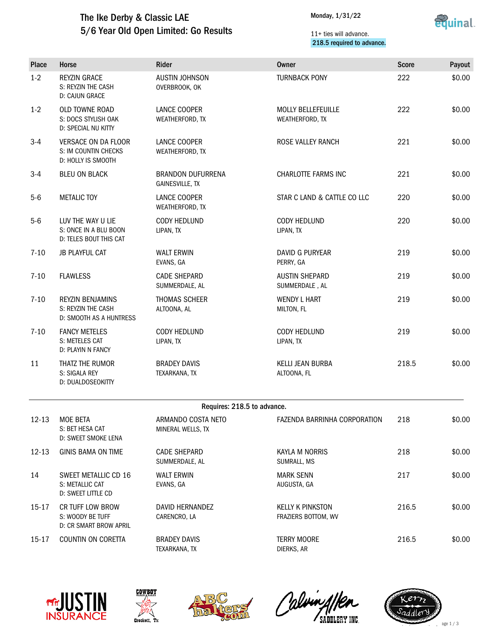## The Ike Derby & Classic LAE 5/6 Year Old Open Limited: Go Results

Monday, 1/31/22



### 11+ ties will advance. 218.5 required to advance.

| <b>Place</b>                | Horse                                                                    | Rider                                       | <b>Owner</b>                                   | <b>Score</b> | Payout |  |  |
|-----------------------------|--------------------------------------------------------------------------|---------------------------------------------|------------------------------------------------|--------------|--------|--|--|
| $1-2$                       | <b>REYZIN GRACE</b><br>S: REYZIN THE CASH<br><b>D: CAJUN GRACE</b>       | <b>AUSTIN JOHNSON</b><br>OVERBROOK, OK      | <b>TURNBACK PONY</b>                           | 222          | \$0.00 |  |  |
| $1 - 2$                     | OLD TOWNE ROAD<br>S: DOCS STYLISH OAK<br>D: SPECIAL NU KITTY             | LANCE COOPER<br>WEATHERFORD, TX             | <b>MOLLY BELLEFEUILLE</b><br>WEATHERFORD, TX   | 222          | \$0.00 |  |  |
| $3 - 4$                     | <b>VERSACE ON DA FLOOR</b><br>S: IM COUNTIN CHECKS<br>D: HOLLY IS SMOOTH | LANCE COOPER<br>WEATHERFORD, TX             | ROSE VALLEY RANCH                              | 221          | \$0.00 |  |  |
| $3-4$                       | <b>BLEU ON BLACK</b>                                                     | <b>BRANDON DUFURRENA</b><br>GAINESVILLE, TX | <b>CHARLOTTE FARMS INC</b>                     | 221          | \$0.00 |  |  |
| $5-6$                       | <b>METALIC TOY</b>                                                       | LANCE COOPER<br>WEATHERFORD, TX             | STAR C LAND & CATTLE CO LLC                    | 220          | \$0.00 |  |  |
| $5-6$                       | LUV THE WAY U LIE<br>S: ONCE IN A BLU BOON<br>D: TELES BOUT THIS CAT     | CODY HEDLUND<br>LIPAN, TX                   | <b>CODY HEDLUND</b><br>LIPAN, TX               | 220          | \$0.00 |  |  |
| $7 - 10$                    | <b>JB PLAYFUL CAT</b>                                                    | <b>WALT ERWIN</b><br>EVANS, GA              | <b>DAVID G PURYEAR</b><br>PERRY, GA            | 219          | \$0.00 |  |  |
| $7 - 10$                    | <b>FLAWLESS</b>                                                          | <b>CADE SHEPARD</b><br>SUMMERDALE, AL       | <b>AUSTIN SHEPARD</b><br>SUMMERDALE, AL        | 219          | \$0.00 |  |  |
| $7 - 10$                    | <b>REYZIN BENJAMINS</b><br>S: REYZIN THE CASH<br>D: SMOOTH AS A HUNTRESS | <b>THOMAS SCHEER</b><br>ALTOONA, AL         | <b>WENDY L HART</b><br>MILTON, FL              | 219          | \$0.00 |  |  |
| $7 - 10$                    | <b>FANCY METELES</b><br>S: METELES CAT<br>D: PLAYIN N FANCY              | CODY HEDLUND<br>LIPAN, TX                   | CODY HEDLUND<br>LIPAN, TX                      | 219          | \$0.00 |  |  |
| 11                          | THATZ THE RUMOR<br>S: SIGALA REY<br>D: DUALDOSEOKITTY                    | <b>BRADEY DAVIS</b><br>TEXARKANA, TX        | <b>KELLI JEAN BURBA</b><br>ALTOONA, FL         | 218.5        | \$0.00 |  |  |
| Requires: 218.5 to advance. |                                                                          |                                             |                                                |              |        |  |  |
| $12 - 13$                   | <b>MOE BETA</b><br>S: BET HESA CAT<br>D: SWEET SMOKE LENA                | ARMANDO COSTA NETO<br>MINERAL WELLS, TX     | FAZENDA BARRINHA CORPORATION                   | 218          | \$0.00 |  |  |
| 12-13                       | <b>GINIS BAMA ON TIME</b>                                                | <b>CADE SHEPARD</b><br>SUMMERDALE, AL       | <b>KAYLA M NORRIS</b><br>SUMRALL, MS           | 218          | \$0.00 |  |  |
| 14                          | SWEET METALLIC CD 16<br>S: METALLIC CAT<br>D: SWEET LITTLE CD            | <b>WALT ERWIN</b><br>EVANS, GA              | <b>MARK SENN</b><br>AUGUSTA, GA                | 217          | \$0.00 |  |  |
| 15-17                       | CR TUFF LOW BROW<br>S: WOODY BE TUFF<br>D: CR SMART BROW APRIL           | DAVID HERNANDEZ<br>CARENCRO, LA             | <b>KELLY K PINKSTON</b><br>FRAZIERS BOTTOM, WV | 216.5        | \$0.00 |  |  |
| 15-17                       | COUNTIN ON CORETTA                                                       | <b>BRADEY DAVIS</b><br>TEXARKANA, TX        | <b>TERRY MOORE</b><br>DIERKS, AR               | 216.5        | \$0.00 |  |  |









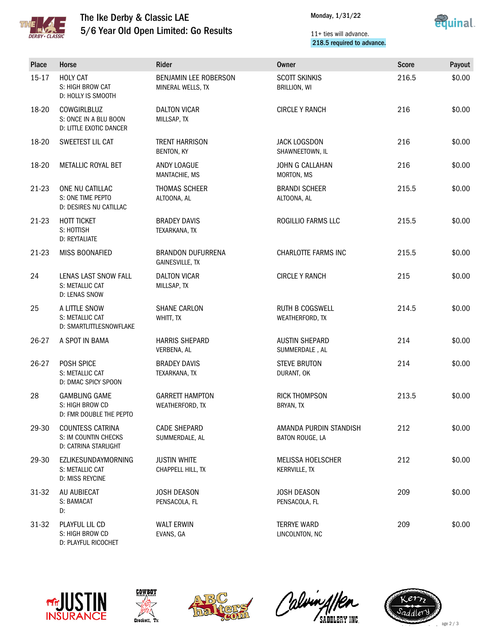

# The Ike Derby & Classic LAE 5/6 Year Old Open Limited: Go Results



#### 11+ ties will advance. 218.5 required to advance.

| Place     | Horse                                                                   | Rider                                              | Owner                                     | <b>Score</b> | Payout |
|-----------|-------------------------------------------------------------------------|----------------------------------------------------|-------------------------------------------|--------------|--------|
| $15 - 17$ | <b>HOLY CAT</b><br>S: HIGH BROW CAT<br>D: HOLLY IS SMOOTH               | BENJAMIN LEE ROBERSON<br>MINERAL WELLS, TX         | <b>SCOTT SKINKIS</b><br>BRILLION, WI      | 216.5        | \$0.00 |
| 18-20     | COWGIRLBLUZ<br>S: ONCE IN A BLU BOON<br>D: LITTLE EXOTIC DANCER         | <b>DALTON VICAR</b><br>MILLSAP, TX                 | <b>CIRCLE Y RANCH</b>                     | 216          | \$0.00 |
| 18-20     | SWEETEST LIL CAT                                                        | <b>TRENT HARRISON</b><br>BENTON, KY                | <b>JACK LOGSDON</b><br>SHAWNEETOWN, IL    | 216          | \$0.00 |
| 18-20     | METALLIC ROYAL BET                                                      | <b>ANDY LOAGUE</b><br>MANTACHIE, MS                | JOHN G CALLAHAN<br>MORTON, MS             | 216          | \$0.00 |
| 21-23     | ONE NU CATILLAC<br>S: ONE TIME PEPTO<br>D: DESIRES NU CATILLAC          | THOMAS SCHEER<br>ALTOONA, AL                       | <b>BRANDI SCHEER</b><br>ALTOONA, AL       | 215.5        | \$0.00 |
| 21-23     | HOTT TICKET<br>S: HOTTISH<br>D: REYTALIATE                              | <b>BRADEY DAVIS</b><br>TEXARKANA, TX               | ROGILLIO FARMS LLC                        | 215.5        | \$0.00 |
| 21-23     | MISS BOONAFIED                                                          | <b>BRANDON DUFURRENA</b><br><b>GAINESVILLE, TX</b> | <b>CHARLOTTE FARMS INC</b>                | 215.5        | \$0.00 |
| 24        | LENAS LAST SNOW FALL<br>S: METALLIC CAT<br>D: LENAS SNOW                | <b>DALTON VICAR</b><br>MILLSAP, TX                 | <b>CIRCLE Y RANCH</b>                     | 215          | \$0.00 |
| 25        | A LITTLE SNOW<br>S: METALLIC CAT<br>D: SMARTLITTLESNOWFLAKE             | <b>SHANE CARLON</b><br>WHITT, TX                   | <b>RUTH B COGSWELL</b><br>WEATHERFORD, TX | 214.5        | \$0.00 |
| 26-27     | A SPOT IN BAMA                                                          | <b>HARRIS SHEPARD</b><br>VERBENA, AL               | <b>AUSTIN SHEPARD</b><br>SUMMERDALE, AL   | 214          | \$0.00 |
| 26-27     | POSH SPICE<br>S: METALLIC CAT<br>D: DMAC SPICY SPOON                    | <b>BRADEY DAVIS</b><br>TEXARKANA, TX               | <b>STEVE BRUTON</b><br>DURANT, OK         | 214          | \$0.00 |
| 28        | <b>GAMBLING GAME</b><br>S: HIGH BROW CD<br>D: FMR DOUBLE THE PEPTO      | <b>GARRETT HAMPTON</b><br>WEATHERFORD, TX          | <b>RICK THOMPSON</b><br>BRYAN, TX         | 213.5        | \$0.00 |
| 29-30     | <b>COUNTESS CATRINA</b><br>S: IM COUNTIN CHECKS<br>D: CATRINA STARLIGHT | <b>CADE SHEPARD</b><br>SUMMERDALE, AL              | AMANDA PURDIN STANDISH<br>BATON ROUGE, LA | 212          | \$0.00 |
| 29-30     | EZLIKESUNDAYMORNING<br>S: METALLIC CAT<br>D: MISS REYCINE               | <b>JUSTIN WHITE</b><br>CHAPPELL HILL, TX           | <b>MELISSA HOELSCHER</b><br>KERRVILLE, TX | 212          | \$0.00 |
| $31 - 32$ | AU AUBIECAT<br>S: BAMACAT<br>D:                                         | <b>JOSH DEASON</b><br>PENSACOLA, FL                | <b>JOSH DEASON</b><br>PENSACOLA, FL       | 209          | \$0.00 |
| 31-32     | PLAYFUL LIL CD<br>S: HIGH BROW CD<br>D: PLAYFUL RICOCHET                | <b>WALT ERWIN</b><br>EVANS, GA                     | <b>TERRYE WARD</b><br>LINCOLNTON, NC      | 209          | \$0.00 |